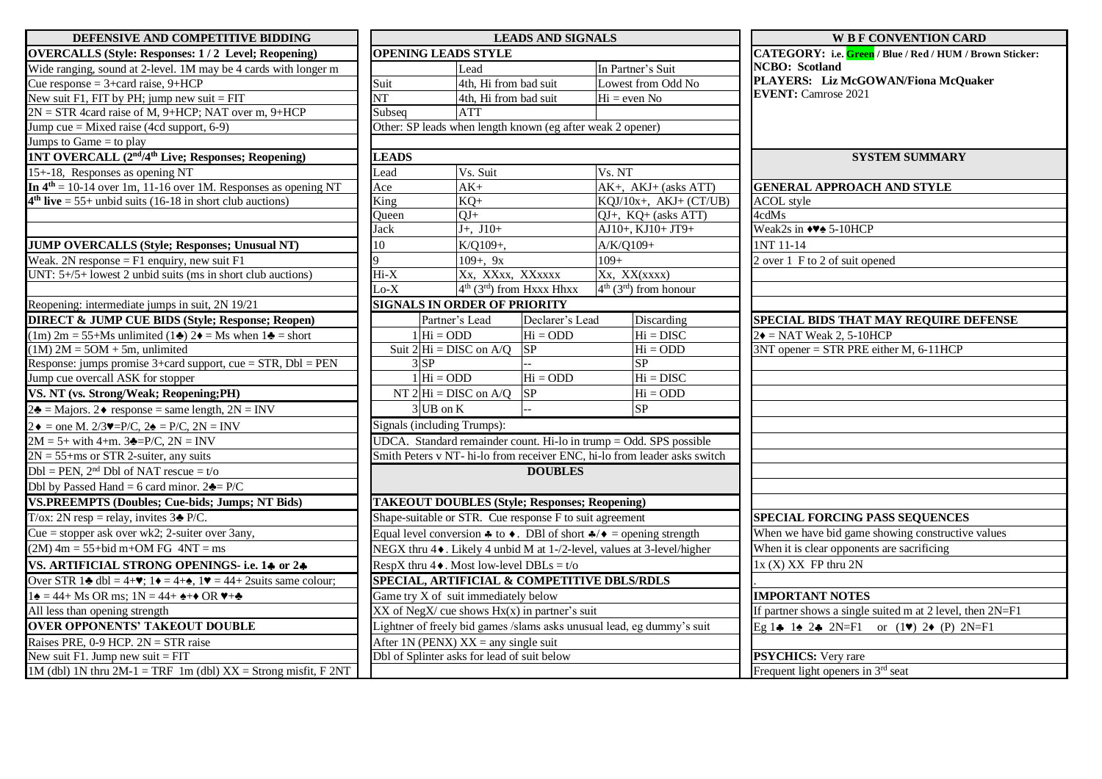| DEFENSIVE AND COMPETITIVE BIDDING                                                                                                                   | <b>LEADS AND SIGNALS</b>                                                                                          |                                                                      |                                                                           | <b>W B F CONVENTION CARD</b>                                  |
|-----------------------------------------------------------------------------------------------------------------------------------------------------|-------------------------------------------------------------------------------------------------------------------|----------------------------------------------------------------------|---------------------------------------------------------------------------|---------------------------------------------------------------|
| <b>OVERCALLS (Style: Responses: 1/2 Level; Reopening)</b>                                                                                           | <b>OPENING LEADS STYLE</b>                                                                                        |                                                                      |                                                                           | CATEGORY: i.e. Green / Blue / Red / HUM / Brown Sticker:      |
| Wide ranging, sound at 2-level. 1M may be 4 cards with longer m                                                                                     |                                                                                                                   | Lead                                                                 | In Partner's Suit                                                         | <b>NCBO</b> : Scotland                                        |
| Cue response = $3 + \text{card raise}, 9 + \text{HCP}$                                                                                              | Suit                                                                                                              | 4th, Hi from bad suit                                                | Lowest from Odd No                                                        | PLAYERS: Liz McGOWAN/Fiona McQuaker                           |
| New suit F1, FIT by PH; jump new suit $=$ FIT                                                                                                       | $\overline{\text{NT}}$                                                                                            | 4th, Hi from bad suit                                                | $Hi = even No$                                                            | <b>EVENT:</b> Camrose 2021                                    |
| $2N = STR$ 4card raise of M, 9+HCP; NAT over m, 9+HCP                                                                                               | Subseq                                                                                                            | <b>ATT</b>                                                           |                                                                           |                                                               |
| Jump cue = Mixed raise (4cd support, 6-9)                                                                                                           |                                                                                                                   | Other: SP leads when length known (eg after weak 2 opener)           |                                                                           |                                                               |
| Jumps to Game $=$ to play                                                                                                                           |                                                                                                                   |                                                                      |                                                                           |                                                               |
| 1NT OVERCALL (2 <sup>nd</sup> /4 <sup>th</sup> Live; Responses; Reopening)                                                                          | <b>LEADS</b>                                                                                                      |                                                                      |                                                                           | <b>SYSTEM SUMMARY</b>                                         |
| 15+-18, Responses as opening NT                                                                                                                     | Lead                                                                                                              | Vs. Suit                                                             | Vs. NT                                                                    |                                                               |
| In $4th = 10-14$ over 1m, 11-16 over 1M. Responses as opening NT                                                                                    | Ace                                                                                                               | $AK+$                                                                | $AK+$ , $AKJ+$ (asks ATT)                                                 | <b>GENERAL APPROACH AND STYLE</b>                             |
| $4th$ live = 55+ unbid suits (16-18 in short club auctions)                                                                                         | King                                                                                                              | $KQ+$                                                                | $KQJ/10x+$ , $AKJ+(CT/UB)$                                                | <b>ACOL</b> style                                             |
|                                                                                                                                                     | Queen                                                                                                             | $QJ+$                                                                | QJ+, KQ+ (asks ATT)                                                       | 4cdMs                                                         |
|                                                                                                                                                     | Jack                                                                                                              | $J+, J10+$                                                           | AJ10+, KJ10+ JT9+                                                         | Weak2s in $\leftrightarrow$ 5-10HCP                           |
| <b>JUMP OVERCALLS (Style; Responses; Unusual NT)</b>                                                                                                | 10                                                                                                                | K/Q109+,                                                             | A/K/Q109+                                                                 | 1NT 11-14                                                     |
| Weak. 2N response = $F1$ enquiry, new suit $F1$                                                                                                     |                                                                                                                   | $109 + 9x$                                                           | $109+$                                                                    | 2 over 1 F to 2 of suit opened                                |
| UNT: $5+/5+$ lowest 2 unbid suits (ms in short club auctions)                                                                                       | $Hi-X$                                                                                                            | Xx, XXxx, XXxxxx                                                     | Xx, XX(xxxx)                                                              |                                                               |
|                                                                                                                                                     | $\overline{\text{Lo-}X}$                                                                                          | $4th$ (3 <sup>rd</sup> ) from Hxxx Hhxx                              | $4th$ (3 <sup>rd</sup> ) from honour                                      |                                                               |
| Reopening: intermediate jumps in suit, 2N 19/21                                                                                                     |                                                                                                                   | <b>SIGNALS IN ORDER OF PRIORITY</b>                                  |                                                                           |                                                               |
| <b>DIRECT &amp; JUMP CUE BIDS (Style; Response; Reopen)</b>                                                                                         |                                                                                                                   | Partner's Lead<br>Declarer's Lead                                    | Discarding                                                                | SPECIAL BIDS THAT MAY REQUIRE DEFENSE                         |
| $(1m)$ 2m = 55+Ms unlimited $(1\clubsuit)$ 2 $\spadesuit$ = Ms when $1\clubsuit$ = short                                                            | $1 \vert \text{Hi} = \text{ODD}$                                                                                  | $Hi = ODD$                                                           | $Hi = DISC$                                                               | $2\bullet$ = NAT Weak 2, 5-10HCP                              |
| $(1M)$ 2M = 5OM + 5m, unlimited                                                                                                                     | Suit $2\overline{Hi} = DISC$ on A/Q                                                                               | SP                                                                   | $Hi = ODD$                                                                | $3NT$ opener = STR PRE either M, 6-11HCP                      |
| Response: jumps promise $3+$ card support, cue = STR, Dbl = PEN                                                                                     | $3$ SP                                                                                                            |                                                                      | SP                                                                        |                                                               |
| Jump cue overcall ASK for stopper                                                                                                                   | $1 Hi = ODD$                                                                                                      | $Hi = ODD$                                                           | $Hi = DISC$                                                               |                                                               |
| VS. NT (vs. Strong/Weak; Reopening;PH)                                                                                                              |                                                                                                                   | SP<br>NT $2 Hi = DISC$ on A/Q                                        | $Hi = ODD$                                                                |                                                               |
| $2\clubsuit$ = Majors. 2 $\triangle$ response = same length, 2N = INV                                                                               | $3$ UB on K                                                                                                       |                                                                      | SP                                                                        |                                                               |
| $2\bullet$ = one M. 2/3 $\blacktriangledown$ =P/C, 2 $\blacktriangle$ = P/C, 2N = INV                                                               | Signals (including Trumps):                                                                                       |                                                                      |                                                                           |                                                               |
| $2M = 5 + with 4+m. 3 = P/C, 2N = INV$                                                                                                              |                                                                                                                   | $UDCA. Standard remainder count. Hi-lo in trump = Odd. SPS possible$ |                                                                           |                                                               |
| $2N = 55 + ms$ or STR 2-suiter, any suits                                                                                                           |                                                                                                                   |                                                                      | Smith Peters v NT- hi-lo from receiver ENC, hi-lo from leader asks switch |                                                               |
| $Dbl = PEN$ , $2nd Dbl$ of NAT rescue = t/o                                                                                                         |                                                                                                                   | <b>DOUBLES</b>                                                       |                                                                           |                                                               |
| Dbl by Passed Hand = 6 card minor. $2\clubsuit$ = P/C                                                                                               |                                                                                                                   |                                                                      |                                                                           |                                                               |
| <b>VS.PREEMPTS (Doubles; Cue-bids; Jumps; NT Bids)</b>                                                                                              |                                                                                                                   | <b>TAKEOUT DOUBLES (Style; Responses; Reopening)</b>                 |                                                                           |                                                               |
| T/ox: 2N resp = relay, invites $3\triangle P/C$ .                                                                                                   | Shape-suitable or STR. Cue response F to suit agreement                                                           |                                                                      |                                                                           | SPECIAL FORCING PASS SEQUENCES                                |
| Cue = stopper ask over wk2; 2-suiter over 3any,                                                                                                     | Equal level conversion $\clubsuit$ to $\blacklozenge$ . DBI of short $\clubsuit/\blacklozenge$ = opening strength |                                                                      |                                                                           | When we have bid game showing constructive values             |
| $(2M)$ 4m = 55+bid m+OM FG 4NT = ms                                                                                                                 | NEGX thru 4♦. Likely 4 unbid M at 1-/2-level, values at 3-level/higher                                            |                                                                      |                                                                           | When it is clear opponents are sacrificing                    |
| VS. ARTIFICIAL STRONG OPENINGS- i.e. 14 or 24                                                                                                       | RespX thru $4\bullet$ . Most low-level DBLs = t/o                                                                 |                                                                      |                                                                           | $1x(X) XX$ FP thru $2N$                                       |
| Over STR 1 $\triangle$ dbl = 4+ $\blacktriangledown$ ; 1 $\blacktriangleright$ = 4+ $\triangle$ , 1 $\blacktriangledown$ = 44+ 2 suits same colour; | SPECIAL, ARTIFICIAL & COMPETITIVE DBLS/RDLS                                                                       |                                                                      |                                                                           |                                                               |
| $1\blacktriangle = 44 + Ms \text{ OR ms}; 1N = 44 + \blacktriangle + \text{ OR V+}\blacktriangle$                                                   | Game try X of suit immediately below                                                                              |                                                                      |                                                                           | <b>IMPORTANT NOTES</b>                                        |
| All less than opening strength                                                                                                                      | $XX$ of NegX/ cue shows $Hx(x)$ in partner's suit                                                                 |                                                                      |                                                                           | If partner shows a single suited m at 2 level, then $2N = F1$ |
| <b>OVER OPPONENTS' TAKEOUT DOUBLE</b>                                                                                                               | Lightner of freely bid games /slams asks unusual lead, eg dummy's suit                                            |                                                                      |                                                                           | Eg 14 12 24 2N=F1 or $(1\vee)$ 2 $(1\vee)$ 2N=F1              |
| Raises PRE, $0-9$ HCP. $2N = STR$ raise                                                                                                             |                                                                                                                   | After 1N (PENX) $XX =$ any single suit                               |                                                                           |                                                               |
| New suit F1. Jump new suit $=$ FIT                                                                                                                  |                                                                                                                   | Dbl of Splinter asks for lead of suit below                          |                                                                           | PSYCHICS: Very rare                                           |
| 1M (dbl) 1N thru $2M-1 = TRF$ 1m (dbl) $XX =$ Strong misfit, F 2NT                                                                                  |                                                                                                                   |                                                                      |                                                                           | Frequent light openers in 3 <sup>rd</sup> seat                |